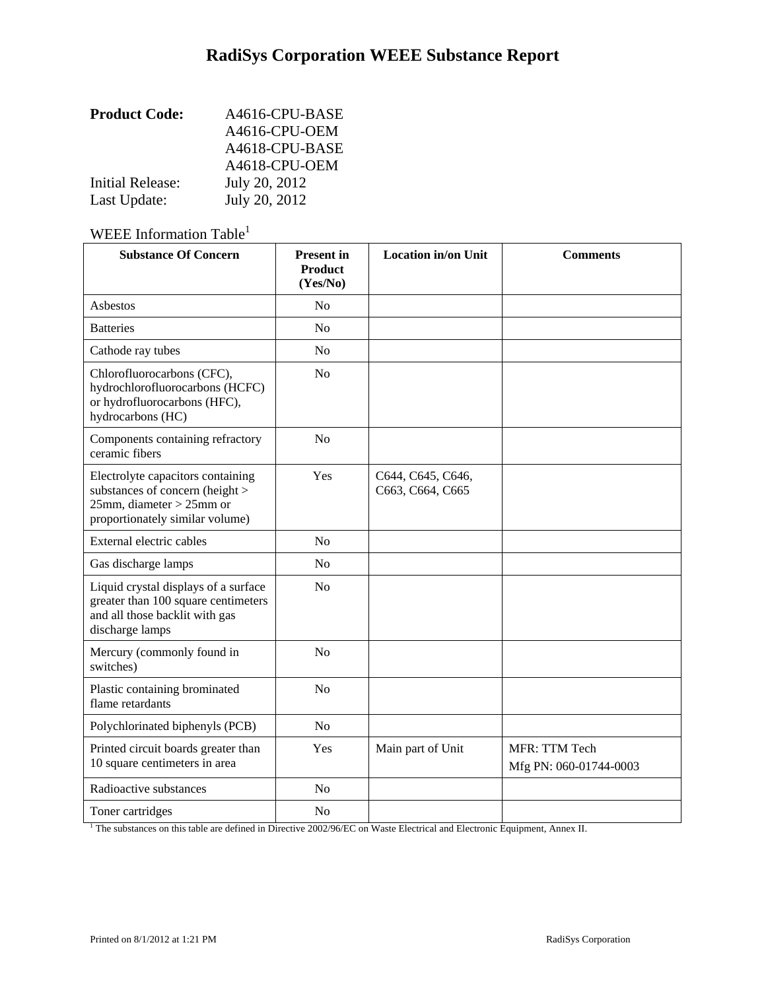| <b>Product Code:</b> | A4616-CPU-BASE |
|----------------------|----------------|
|                      | A4616-CPU-OEM  |
|                      | A4618-CPU-BASE |
|                      | A4618-CPU-OEM  |
| Initial Release:     | July 20, 2012  |
| Last Update:         | July 20, 2012  |

# WEEE Information Table<sup>1</sup>

| <b>Substance Of Concern</b>                                                                                                               | <b>Present</b> in<br><b>Product</b><br>(Yes/No) | <b>Location in/on Unit</b>            | <b>Comments</b>                         |
|-------------------------------------------------------------------------------------------------------------------------------------------|-------------------------------------------------|---------------------------------------|-----------------------------------------|
| Asbestos                                                                                                                                  | No                                              |                                       |                                         |
| <b>Batteries</b>                                                                                                                          | N <sub>0</sub>                                  |                                       |                                         |
| Cathode ray tubes                                                                                                                         | N <sub>o</sub>                                  |                                       |                                         |
| Chlorofluorocarbons (CFC),<br>hydrochlorofluorocarbons (HCFC)<br>or hydrofluorocarbons (HFC),<br>hydrocarbons (HC)                        | N <sub>o</sub>                                  |                                       |                                         |
| Components containing refractory<br>ceramic fibers                                                                                        | N <sub>o</sub>                                  |                                       |                                         |
| Electrolyte capacitors containing<br>substances of concern (height ><br>$25$ mm, diameter > $25$ mm or<br>proportionately similar volume) | Yes                                             | C644, C645, C646,<br>C663, C664, C665 |                                         |
| External electric cables                                                                                                                  | No                                              |                                       |                                         |
| Gas discharge lamps                                                                                                                       | N <sub>o</sub>                                  |                                       |                                         |
| Liquid crystal displays of a surface<br>greater than 100 square centimeters<br>and all those backlit with gas<br>discharge lamps          | N <sub>o</sub>                                  |                                       |                                         |
| Mercury (commonly found in<br>switches)                                                                                                   | No                                              |                                       |                                         |
| Plastic containing brominated<br>flame retardants                                                                                         | N <sub>o</sub>                                  |                                       |                                         |
| Polychlorinated biphenyls (PCB)                                                                                                           | N <sub>o</sub>                                  |                                       |                                         |
| Printed circuit boards greater than<br>10 square centimeters in area                                                                      | Yes                                             | Main part of Unit                     | MFR: TTM Tech<br>Mfg PN: 060-01744-0003 |
| Radioactive substances                                                                                                                    | N <sub>o</sub>                                  |                                       |                                         |
| Toner cartridges                                                                                                                          | N <sub>o</sub>                                  |                                       |                                         |

<sup>1</sup> The substances on this table are defined in Directive 2002/96/EC on Waste Electrical and Electronic Equipment, Annex II.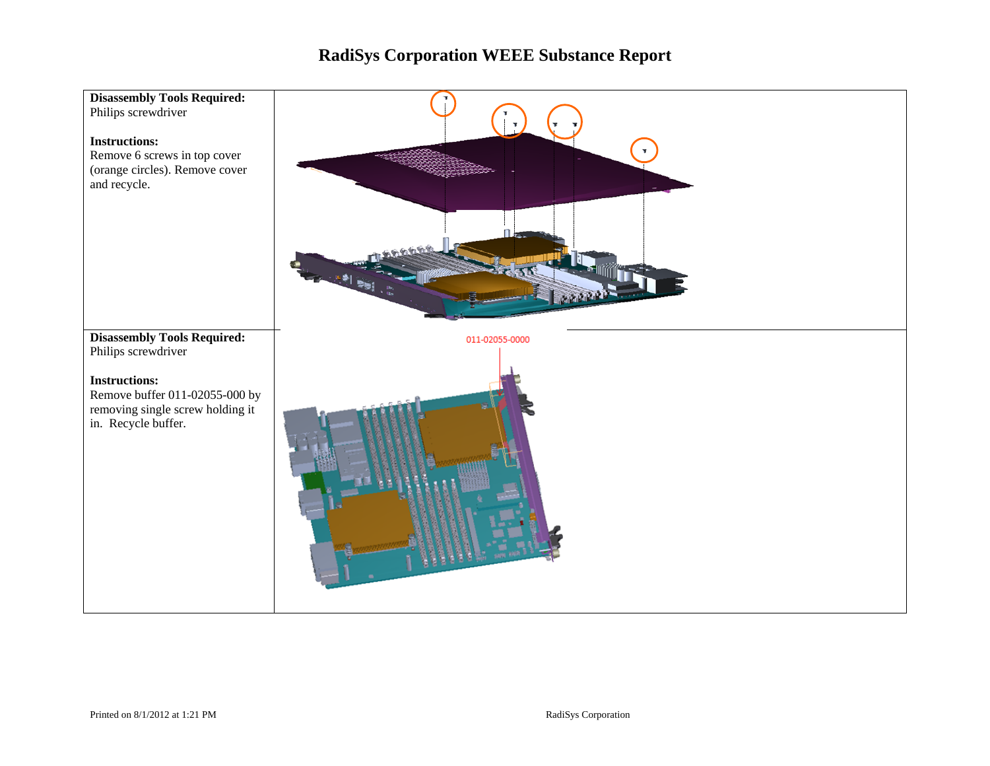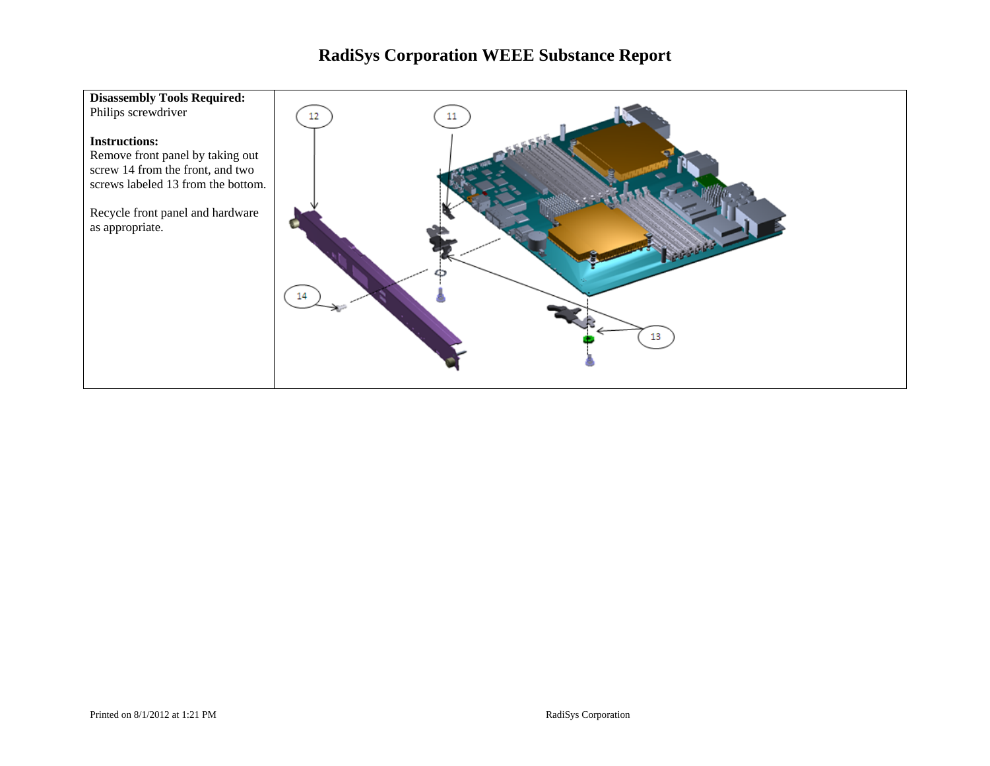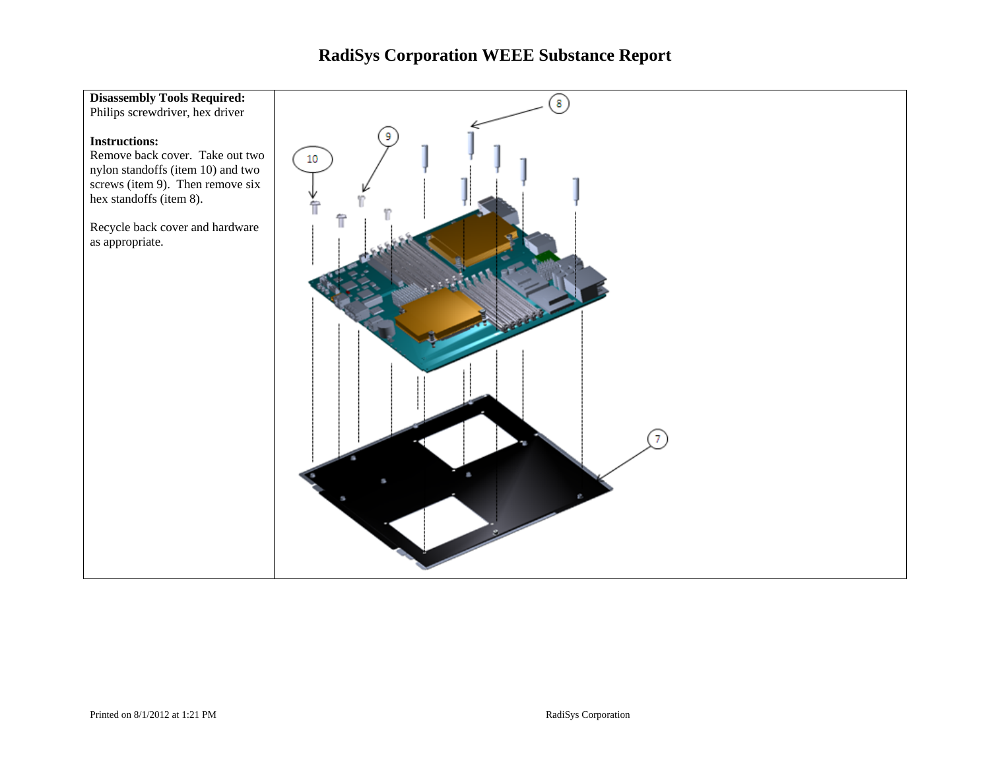